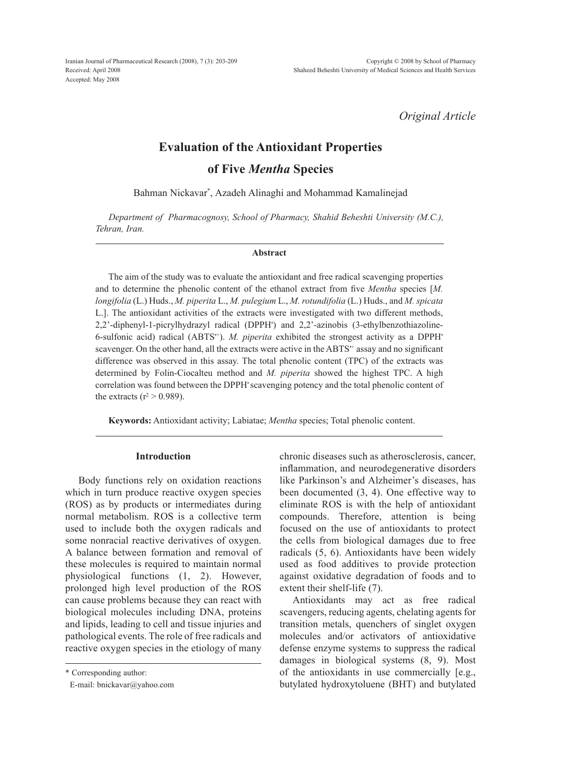Iranian Journal of Pharmaceutical Research (2008), 7 (3): 203-209 Received: April 2008 Accepted: May 2008

*Original Article*

# **Evaluation of the Antioxidant Properties**

**of Five** *Mentha* **Species**

Bahman Nickavar\* , Azadeh Alinaghi and Mohammad Kamalinejad

*Department of Pharmacognosy, School of Pharmacy, Shahid Beheshti University (M.C.), Tehran, Iran.*

#### **Abstract**

The aim of the study was to evaluate the antioxidant and free radical scavenging properties and to determine the phenolic content of the ethanol extract from five *Mentha* species [*M. longifolia* (L.) Huds., *M. piperita* L., *M. pulegium* L., *M. rotundifolia* (L.) Huds., and *M. spicata* L.]. The antioxidant activities of the extracts were investigated with two different methods, 2,2'-diphenyl-1-picrylhydrazyl radical (DPPH• ) and 2,2'-azinobis (3-ethylbenzothiazoline-6-sulfonic acid) radical (ABTS<sup>++</sup>). *M. piperita* exhibited the strongest activity as a DPPH<sup>+</sup> scavenger. On the other hand, all the extracts were active in the ABTS<sup>++</sup> assay and no significant difference was observed in this assay. The total phenolic content (TPC) of the extracts was determined by Folin-Ciocalteu method and *M. piperita* showed the highest TPC. A high correlation was found between the DPPH scavenging potency and the total phenolic content of the extracts ( $r^2 > 0.989$ ).

**Keywords:** Antioxidant activity; Labiatae; *Mentha* species; Total phenolic content.

### **Introduction**

Body functions rely on oxidation reactions which in turn produce reactive oxygen species (ROS) as by products or intermediates during normal metabolism. ROS is a collective term used to include both the oxygen radicals and some nonracial reactive derivatives of oxygen. A balance between formation and removal of these molecules is required to maintain normal physiological functions (1, 2). However, prolonged high level production of the ROS can cause problems because they can react with biological molecules including DNA, proteins and lipids, leading to cell and tissue injuries and pathological events. The role of free radicals and reactive oxygen species in the etiology of many

\* Corresponding author:

E-mail: bnickavar@yahoo.com

chronic diseases such as atherosclerosis, cancer, inflammation, and neurodegenerative disorders like Parkinson's and Alzheimer's diseases, has been documented (3, 4). One effective way to eliminate ROS is with the help of antioxidant compounds. Therefore, attention is being focused on the use of antioxidants to protect the cells from biological damages due to free radicals (5, 6). Antioxidants have been widely used as food additives to provide protection against oxidative degradation of foods and to extent their shelf-life (7).

Antioxidants may act as free radical scavengers, reducing agents, chelating agents for transition metals, quenchers of singlet oxygen molecules and/or activators of antioxidative defense enzyme systems to suppress the radical damages in biological systems (8, 9). Most of the antioxidants in use commercially [e.g., butylated hydroxytoluene (BHT) and butylated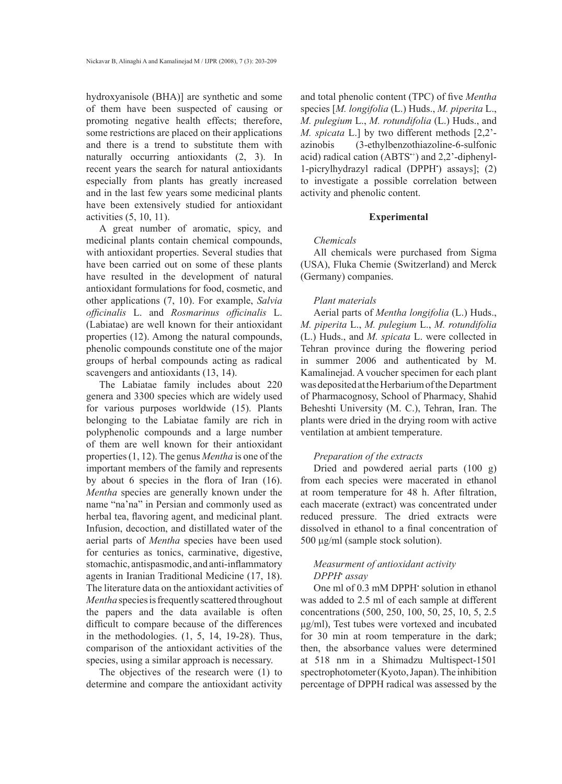hydroxyanisole (BHA)] are synthetic and some of them have been suspected of causing or promoting negative health effects; therefore, some restrictions are placed on their applications and there is a trend to substitute them with naturally occurring antioxidants (2, 3). In recent years the search for natural antioxidants especially from plants has greatly increased and in the last few years some medicinal plants have been extensively studied for antioxidant activities (5, 10, 11).

A great number of aromatic, spicy, and medicinal plants contain chemical compounds, with antioxidant properties. Several studies that have been carried out on some of these plants have resulted in the development of natural antioxidant formulations for food, cosmetic, and other applications (7, 10). For example, *Salvia officinalis* L. and *Rosmarinus officinalis* L. (Labiatae) are well known for their antioxidant properties (12). Among the natural compounds, phenolic compounds constitute one of the major groups of herbal compounds acting as radical scavengers and antioxidants (13, 14).

The Labiatae family includes about 220 genera and 3300 species which are widely used for various purposes worldwide (15). Plants belonging to the Labiatae family are rich in polyphenolic compounds and a large number of them are well known for their antioxidant properties (1, 12). The genus *Mentha* is one of the important members of the family and represents by about 6 species in the flora of Iran (16). *Mentha* species are generally known under the name "na'na" in Persian and commonly used as herbal tea, flavoring agent, and medicinal plant. Infusion, decoction, and distillated water of the aerial parts of *Mentha* species have been used for centuries as tonics, carminative, digestive, stomachic, antispasmodic, and anti-inflammatory agents in Iranian Traditional Medicine (17, 18). The literature data on the antioxidant activities of *Mentha* species is frequently scattered throughout the papers and the data available is often difficult to compare because of the differences in the methodologies. (1, 5, 14, 19-28). Thus, comparison of the antioxidant activities of the species, using a similar approach is necessary.

The objectives of the research were (1) to determine and compare the antioxidant activity and total phenolic content (TPC) of five *Mentha* species [*M. longifolia* (L.) Huds., *M. piperita* L., *M. pulegium* L., *M. rotundifolia* (L.) Huds., and *M. spicata* L.] by two different methods [2,2' azinobis (3-ethylbenzothiazoline-6-sulfonic acid) radical cation (ABTS<sup>++</sup>) and 2,2'-diphenyl-1-picrylhydrazyl radical (DPPH• ) assays]; (2) to investigate a possible correlation between activity and phenolic content.

### **Experimental**

### *Chemicals*

All chemicals were purchased from Sigma (USA), Fluka Chemie (Switzerland) and Merck (Germany) companies.

# *Plant materials*

Aerial parts of *Mentha longifolia* (L.) Huds., *M. piperita* L., *M. pulegium* L., *M. rotundifolia* (L.) Huds., and *M. spicata* L. were collected in Tehran province during the flowering period in summer 2006 and authenticated by M. Kamalinejad. A voucher specimen for each plant was deposited at the Herbarium of the Department of Pharmacognosy, School of Pharmacy, Shahid Beheshti University (M. C.), Tehran, Iran. The plants were dried in the drying room with active ventilation at ambient temperature.

# *Preparation of the extracts*

Dried and powdered aerial parts (100 g) from each species were macerated in ethanol at room temperature for 48 h. After filtration, each macerate (extract) was concentrated under reduced pressure. The dried extracts were dissolved in ethanol to a final concentration of 500 μg/ml (sample stock solution).

# *Measurment of antioxidant activity DPPH*•  *assay*

One ml of 0.3 mM DPPH<sup>•</sup> solution in ethanol was added to 2.5 ml of each sample at different concentrations (500, 250, 100, 50, 25, 10, 5, 2.5 μg/ml), Test tubes were vortexed and incubated for 30 min at room temperature in the dark; then, the absorbance values were determined at 518 nm in a Shimadzu Multispect-1501 spectrophotometer (Kyoto, Japan). The inhibition percentage of DPPH radical was assessed by the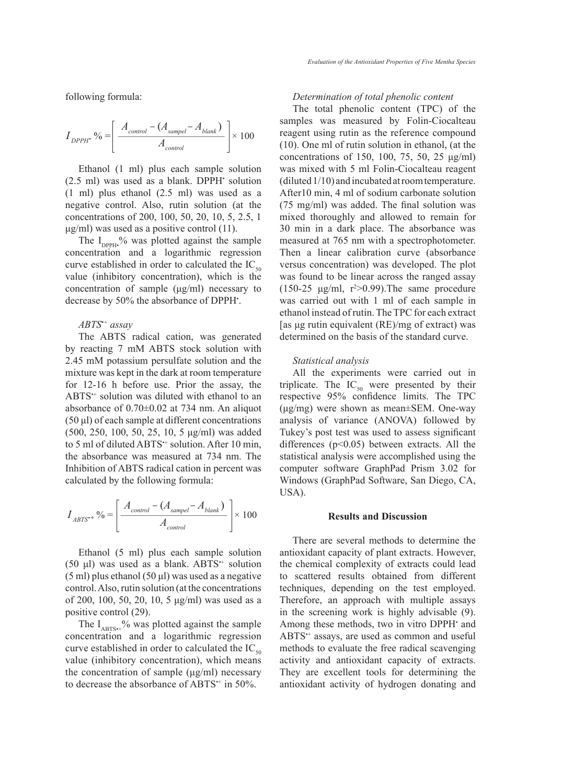following formula:

$$
I_{DPPH} \cdot \% = \left[ \frac{A_{control} - (A_{samplel} - A_{blank})}{A_{control}} \right] \times 100
$$

Ethanol (1 ml) plus each sample solution  $(2.5 \text{ ml})$  was used as a blank. DPPH $\cdot$  solution (1 ml) plus ethanol (2.5 ml) was used as a negative control. Also, rutin solution (at the concentrations of 200, 100, 50, 20, 10, 5, 2.5, 1  $\mu$ g/ml) was used as a positive control (11).

The  $I_{\text{DPPH}}$ % was plotted against the sample concentration and a logarithmic regression curve established in order to calculated the  $IC_{50}$ value (inhibitory concentration), which is the concentration of sample (μg/ml) necessary to decrease by 50% the absorbance of DPPH• .

### *ABTS•+ assay*

The ABTS radical cation, was generated by reacting 7 mM ABTS stock solution with 2.45 mM potassium persulfate solution and the mixture was kept in the dark at room temperature for 12-16 h before use. Prior the assay, the ABTS<sup>++</sup> solution was diluted with ethanol to an absorbance of 0.70±0.02 at 734 nm. An aliquot (50 μl) of each sample at different concentrations (500, 250, 100, 50, 25, 10, 5 μg/ml) was added to 5 ml of diluted ABTS<sup>++</sup> solution. After 10 min, the absorbance was measured at 734 nm. The Inhibition of ABTS radical cation in percent was calculated by the following formula:

$$
I_{ABTS^{**}}\% = \left[\frac{A_{control} - (A_{sampleI} - A_{blank})}{A_{control}}\right] \times 100
$$

Ethanol (5 ml) plus each sample solution (50 μl) was used as a blank.  $ABTS^{+}$  solution  $(5 \text{ ml})$  plus ethanol  $(50 \text{ µ})$  was used as a negative control. Also, rutin solution (at the concentrations of 200, 100, 50, 20, 10, 5 μg/ml) was used as a positive control (29).

The  $I_{\text{ABTS}\leftrightarrow}$ % was plotted against the sample concentration and a logarithmic regression curve established in order to calculated the  $IC_{50}$ value (inhibitory concentration), which means the concentration of sample (μg/ml) necessary to decrease the absorbance of ABTS<sup>++</sup> in 50%.

# *Determination of total phenolic content*

The total phenolic content (TPC) of the samples was measured by Folin-Ciocalteau reagent using rutin as the reference compound (10). One ml of rutin solution in ethanol, (at the concentrations of 150, 100, 75, 50, 25 μg/ml) was mixed with 5 ml Folin-Ciocalteau reagent (diluted 1/10) and incubated at room temperature. After10 min, 4 ml of sodium carbonate solution (75 mg/ml) was added. The final solution was mixed thoroughly and allowed to remain for 30 min in a dark place. The absorbance was measured at 765 nm with a spectrophotometer. Then a linear calibration curve (absorbance versus concentration) was developed. The plot was found to be linear across the ranged assay (150-25  $\mu$ g/ml, r<sup>2</sup>>0.99). The same procedure was carried out with 1 ml of each sample in ethanol instead of rutin. The TPC for each extract [as μg rutin equivalent (RE)/mg of extract) was determined on the basis of the standard curve.

### *Statistical analysis*

All the experiments were carried out in triplicate. The  $IC_{50}$  were presented by their respective 95% confidence limits. The TPC (μg/mg) were shown as mean±SEM. One-way analysis of variance (ANOVA) followed by Tukey's post test was used to assess significant differences (p<0.05) between extracts. All the statistical analysis were accomplished using the computer software GraphPad Prism 3.02 for Windows (GraphPad Software, San Diego, CA, USA).

### **Results and Discussion**

There are several methods to determine the antioxidant capacity of plant extracts. However, the chemical complexity of extracts could lead to scattered results obtained from different techniques, depending on the test employed. Therefore, an approach with multiple assays in the screening work is highly advisable (9). Among these methods, two in vitro DPPH<sup>·</sup> and ABTS<sup>++</sup> assays, are used as common and useful methods to evaluate the free radical scavenging activity and antioxidant capacity of extracts. They are excellent tools for determining the antioxidant activity of hydrogen donating and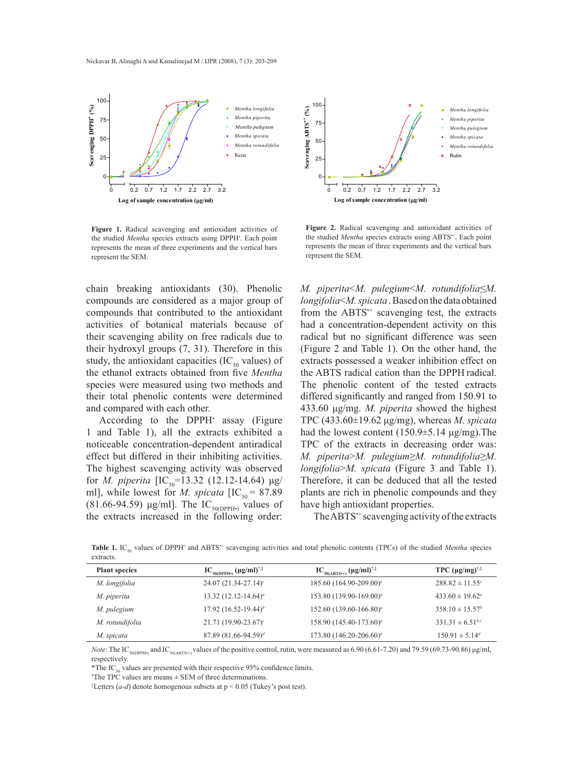

**Figure 1.** Radical scavenging and antioxidant activities of the studied *Mentha* species extracts using DPPH<sup>\*</sup>. Each point represents the mean of three experiments and the vertical bars represent the SEM.

chain breaking antioxidants (30). Phenolic compounds are considered as a major group of compounds that contributed to the antioxidant activities of botanical materials because of their scavenging ability on free radicals due to their hydroxyl groups (7, 31). Therefore in this study, the antioxidant capacities (IC $_{50}$  values) of the ethanol extracts obtained from five *Mentha* species were measured using two methods and their total phenolic contents were determined and compared with each other.

According to the DPPH<sup>•</sup> assay (Figure 1 and Table 1), all the extracts exhibited a noticeable concentration-dependent antiradical effect but differed in their inhibiting activities. The highest scavenging activity was observed for *M. piperita* [IC<sub>50</sub>=13.32 (12.12-14.64) μg/ ml], while lowest for *M. spicata*  $[IC_{50} = 87.89]$ (81.66-94.59)  $\mu$ g/ml]. The IC<sub>50(DPPH</sub>, values of the extracts increased in the following order:



Figure 2. Radical scavenging and antioxidant activities of the studied *Mentha* species extracts using ABTS<sup>++</sup>. Each point represents the mean of three experiments and the vertical bars represent the SEM.

*M. piperita*<*M. pulegium*<*M. rotundifolia*≤*M. longifolia*<*M. spicata* . Based on the data obtained from the ABTS<sup>++</sup> scavenging test, the extracts had a concentration-dependent activity on this radical but no significant difference was seen (Figure 2 and Table 1). On the other hand, the extracts possessed a weaker inhibition effect on the ABTS radical cation than the DPPH radical. The phenolic content of the tested extracts differed significantly and ranged from 150.91 to 433.60 μg/mg. *M. piperita* showed the highest TPC (433.60±19.62 μg/mg), whereas *M. spicata* had the lowest content  $(150.9 \pm 5.14 \text{ µg/mg})$ . The TPC of the extracts in decreasing order was: *M. piperita*>*M. pulegium*≥*M. rotundifolia*≥*M. longifolia*>*M. spicata* (Figure 3 and Table 1). Therefore, it can be deduced that all the tested plants are rich in phenolic compounds and they have high antioxidant properties.

The ABTS<sup>++</sup> scavenging activity of the extracts

**Table 1.** IC<sub>50</sub> values of DPPH<sup>•</sup> and ABTS<sup>++</sup> scavenging activities and total phenolic contents (TPCs) of the studied *Mentha* species extracts.

| <b>Plant species</b> | $IC_{50(DPPH_2)} (\mu g/ml)^{*,}$ | $IC_{50(ABTS^{*+})} (\mu g/ml)^{*,\ddag}$ | TPC $(\mu g/mg)^{\dagger,\ddagger}$ |
|----------------------|-----------------------------------|-------------------------------------------|-------------------------------------|
| M. longifolia        | 24.07 (21.34-27.14) $\epsilon$    | 185.60 (164.90-209.00) <sup>a</sup>       | $288.82 \pm 11.55$ <sup>c</sup>     |
| M. piperita          | 13.32 $(12.12 - 14.64)^a$         | 153.80 (139.90-169.00) <sup>a</sup>       | $433.60 \pm 19.62^{\circ}$          |
| M. pulegium          | 17.92 $(16.52 - 19.44)^{b}$       | $152.60 (139.60 - 166.80)^a$              | $358.10 \pm 15.57^b$                |
| M. rotundifolia      | $21.71(19.90 - 23.67)^c$          | 158.90 (145.40-173.60) <sup>a</sup>       | $331.31 \pm 6.51^{b,c}$             |
| M. spicata           | $87.89(81.66 - 94.59)^d$          | 173.80 (146.20-206.60) <sup>a</sup>       | $150.91 \pm 5.14^d$                 |

*Note*: The IC<sub>50(DPPH•)</sub> and IC<sub>50(ABTS++)</sub> values of the positive control, rutin, were measured as 6.90 (6.61-7.20) and 79.59 (69.73-90.86) μg/ml, respectively.

\*The  $IC_{50}$  values are presented with their respective 95% confidence limits.

† The TPC values are means ± SEM of three determinations.

‡ Letters (*a-d*) denote homogenous subsets at p < 0.05 (Tukey's post test).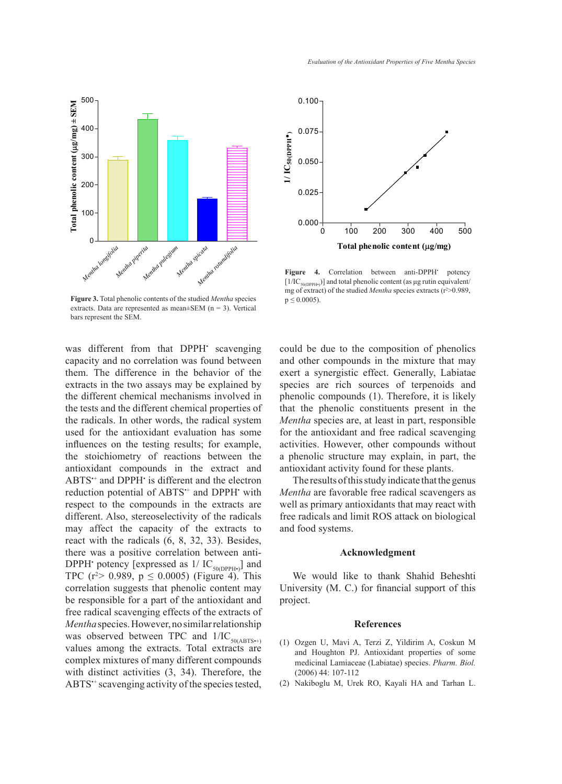

*Mentha spicata*

**Mentha rotundifolia** 

**Figure 3.** Total phenolic contents of the studied *Mentha* species  $p \le 0.0005$ . extracts. Data are represented as mean $\pm$ SEM (n = 3). Vertical bars represent the SEM.

*Mentha pulegium*

*Mentha longifolia*

0

100

200

300

**Total phenolic content (**P**g/mg) ± SEM**

Total phenolic content  $(\mu g/mg) \pm SEM$ 

400

500

*Mentha piperita*

was different from that DPPH<sup>·</sup> scavenging capacity and no correlation was found between and  $\Gamma$ them. The difference in the behavior of the extracts in the two assays may be explained by the different chemical mechanisms involved in the tests and the different chemical properties of the radicals. In other words, the radical system used for the antioxidant evaluation has some influences on the testing results; for example, the stoichiometry of reactions between the antioxidant compounds in the extract and ABTS•+ and DPPH• is different and the electron reduction potential of ABTS<sup>++</sup> and DPPH<sup>•</sup> with respect to the compounds in the extracts are different. Also, stereoselectivity of the radicals may affect the capacity of the extracts to react with the radicals (6, 8, 32, 33). Besides, there was a positive correlation between anti-DPPH<sup>•</sup> potency [expressed as  $1/\text{IC}_{50(DPPH•)}$ ] and TPC ( $r^2$  > 0.989,  $p \le 0.0005$ ) (Figure 4). This correlation suggests that phenolic content may be responsible for a part of the antioxidant and free radical scavenging effects of the extracts of *Mentha* species. However, no similar relationship was observed between TPC and  $1/IC_{50(ABTS^{*+})}$ values among the extracts. Total extracts are complex mixtures of many different compounds with distinct activities (3, 34). Therefore, the ABTS<sup>++</sup> scavenging activity of the species tested,



 $\mathbf{F}_{\mathbf{r}}$  is the total phenolic phenolic phenolic phenolic phenolic phenolic phenolic phenolic phenolic phenolic phenolic phenolic phenolic phenolic phenolic phenolic phenolic phenolic phenolic phenolic phenolic phen Figure 4. Correlation between anti-DPPH<sup>+</sup> potency  $[1/IC_{S0(DPPH*)}]$  and total phenolic content (as µg rutin equivalent/ mg of extract) of the studied *Mentha* species extracts (r<sup>2</sup>>0.989,  $p \leq 0.0005$ ).

could be due to the composition of phenolics and other compounds in the mixture that may exert a synergistic effect. Generally, Labiatae species are rich sources of terpenoids and phenolic compounds (1). Therefore, it is likely that the phenolic constituents present in the *Mentha* species are, at least in part, responsible for the antioxidant and free radical scavenging activities. However, other compounds without a phenolic structure may explain, in part, the antioxidant activity found for these plants. **Figure 3.** Total phenolic contents of the studied *Mentha* species extracts. Data are > 0.989, p 0.0005).

> The results of this study indicate that the genus *Mentha* are favorable free radical scavengers as well as primary antioxidants that may react with free radicals and limit ROS attack on biological and food systems.

### **Acknowledgment**

We would like to thank Shahid Beheshti University (M. C.) for financial support of this project.

# **References** 18

- (1) Ozgen U, Mavi A, Terzi Z, Yildirim A, Coskun M and Houghton PJ. Antioxidant properties of some medicinal Lamiaceae (Labiatae) species. *Pharm. Biol.*  (2006) 44: 107-112
- (2) Nakiboglu M, Urek RO, Kayali HA and Tarhan L.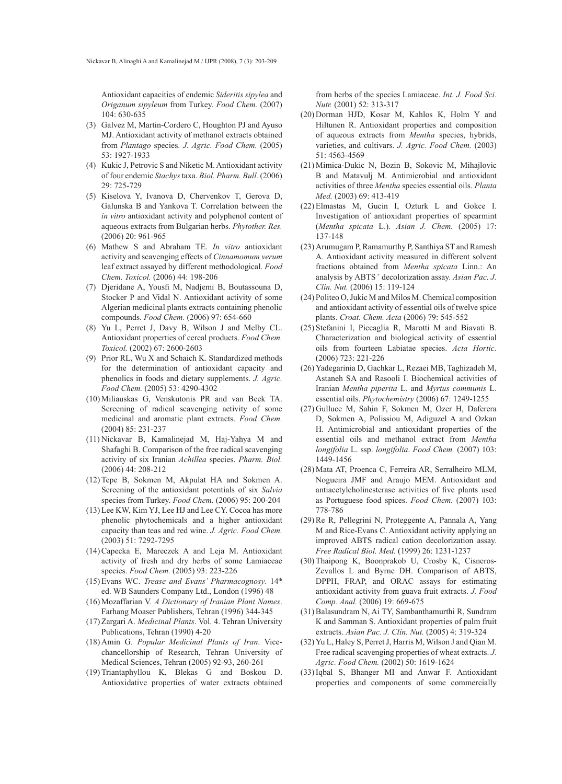Antioxidant capacities of endemic *Sideritis sipylea* and *Origanum sipyleum* from Turkey. *Food Chem.* (2007) 104: 630-635

- (3) Galvez M, Martin-Cordero C, Houghton PJ and Ayuso MJ. Antioxidant activity of methanol extracts obtained from *Plantago* species. *J. Agric. Food Chem.* (2005) 53: 1927-1933
- (4) Kukic J, Petrovic S and Niketic M. Antioxidant activity of four endemic *Stachys* taxa. *Biol. Pharm. Bull.* (2006) 29: 725-729
- (5) Kiselova Y, Ivanova D, Chervenkov T, Gerova D, Galunska B and Yankova T. Correlation between the *in vitro* antioxidant activity and polyphenol content of aqueous extracts from Bulgarian herbs. *Phytother. Res.*  (2006) 20: 961-965
- Mathew S and Abraham TE. *In vitro* antioxidant (6) activity and scavenging effects of *Cinnamomum verum* leaf extract assayed by different methodological. *Food Chem. Toxicol.* (2006) 44: 198-206
- Djeridane A, Yousfi M, Nadjemi B, Boutassouna D, (7) Stocker P and Vidal N. Antioxidant activity of some Algerian medicinal plants extracts containing phenolic compounds. *Food Chem.* (2006) 97: 654-660
- (8) Yu L, Perret J, Davy B, Wilson J and Melby CL. Antioxidant properties of cereal products. *Food Chem. Toxicol.* (2002) 67: 2600-2603
- (9) Prior RL, Wu X and Schaich K. Standardized methods for the determination of antioxidant capacity and phenolics in foods and dietary supplements. *J. Agric. Food Chem.* (2005) 53: 4290-4302
- (10) Miliauskas G, Venskutonis PR and van Beek TA. Screening of radical scavenging activity of some medicinal and aromatic plant extracts. *Food Chem.* (2004) 85: 231-237
- (11) Nickavar B, Kamalinejad M, Haj-Yahya M and Shafaghi B. Comparison of the free radical scavenging activity of six Iranian *Achillea* species. *Pharm. Biol.*  (2006) 44: 208-212
- $(12)$  Tepe B, Sokmen M, Akpulat HA and Sokmen A. Screening of the antioxidant potentials of six *Salvia* species from Turkey. *Food Chem.* (2006) 95: 200-204
- (13) Lee KW, Kim YJ, Lee HJ and Lee CY. Cocoa has more phenolic phytochemicals and a higher antioxidant capacity than teas and red wine. *J. Agric. Food Chem.* (2003) 51: 7292-7295
- $(14)$  Capecka E, Mareczek A and Leja M. Antioxidant activity of fresh and dry herbs of some Lamiaceae species. *Food Chem.* (2005) 93: 223-226
- Evans WC. *Trease and Evans' Pharmacognosy*. 14th (15) ed. WB Saunders Company Ltd., London (1996) 48
- Mozaffarian V. *A Dictionary of Iranian Plant Names*. (16) Farhang Moaser Publishers, Tehran (1996) 344-345
- (17) Zargari A. Medicinal Plants. Vol. 4. Tehran University Publications, Tehran (1990) 4-20
- (18) Amin G. Popular Medicinal Plants of Iran. Vicechancellorship of Research, Tehran University of Medical Sciences, Tehran (2005) 92-93, 260-261
- (19) Triantaphyllou K, Blekas G and Boskou D. Antioxidative properties of water extracts obtained

from herbs of the species Lamiaceae. *Int. J. Food Sci. Nutr.* (2001) 52: 313-317

- (20) Dorman HJD, Kosar M, Kahlos K, Holm Y and Hiltunen R. Antioxidant properties and composition of aqueous extracts from *Mentha* species, hybrids, varieties, and cultivars. *J. Agric. Food Chem.* (2003) 51: 4563-4569
- (21) Mimica-Dukic N, Bozin B, Sokovic M, Mihajlovic B and Matavulj M. Antimicrobial and antioxidant activities of three *Mentha* species essential oils. *Planta Med.* (2003) 69: 413-419
- $(22)$  Elmastas M, Gucin I, Ozturk L and Gokce I. Investigation of antioxidant properties of spearmint (*Mentha spicata* L.). *Asian J. Chem.* (2005) 17: 137-148
- (23) Arumugam P, Ramamurthy P, Santhiya ST and Ramesh A. Antioxidant activity measured in different solvent fractions obtained from *Mentha spicata* Linn.: An analysis by ABTS<sup>+</sup> decolorization assay. Asian Pac. J. *Clin. Nut.* (2006) 15: 119-124
- Politeo O, Jukic M and Milos M. Chemical composition (24) and antioxidant activity of essential oils of twelve spice plants. *Croat. Chem. Acta* (2006) 79: 545-552
- $(25)$  Stefanini I, Piccaglia R, Marotti M and Biavati B. Characterization and biological activity of essential oils from fourteen Labiatae species. *Acta Hortic.*  (2006) 723: 221-226
- (26) Yadegarinia D, Gachkar L, Rezaei MB, Taghizadeh M, Astaneh SA and Rasooli I. Biochemical activities of Iranian *Mentha piperita* L. and *Myrtus communis* L. essential oils. *Phytochemistry* (2006) 67: 1249-1255
- (27) Gulluce M, Sahin F, Sokmen M, Ozer H, Daferera D, Sokmen A, Polissiou M, Adiguzel A and Ozkan H. Antimicrobial and antioxidant properties of the essential oils and methanol extract from *Mentha longifolia* L. ssp. *longifolia*. *Food Chem.* (2007) 103: 1449-1456
- (28) Mata AT, Proenca C, Ferreira AR, Serralheiro MLM, Nogueira JMF and Araujo MEM. Antioxidant and antiacetylcholinesterase activities of five plants used as Portuguese food spices. *Food Chem.* (2007) 103: 778-786
- (29) Re R, Pellegrini N, Proteggente A, Pannala A, Yang M and Rice-Evans C. Antioxidant activity applying an improved ABTS radical cation decolorization assay. *Free Radical Biol. Med.* (1999) 26: 1231-1237
- (30) Thaipong K, Boonprakob U, Crosby K, Cisneros-Zevallos L and Byrne DH. Comparison of ABTS, DPPH, FRAP, and ORAC assays for estimating antioxidant activity from guava fruit extracts. *J. Food Comp. Anal.* (2006) 19: 669-675
- Balasundram N, Ai TY, Sambanthamurthi R, Sundram (31) K and Samman S. Antioxidant properties of palm fruit extracts. *Asian Pac. J. Clin. Nut.* (2005) 4: 319-324
- $(32)$  Yu L, Haley S, Perret J, Harris M, Wilson J and Qian M. Free radical scavenging properties of wheat extracts. *J. Agric. Food Chem.* (2002) 50: 1619-1624
- (33) Iqbal S, Bhanger MI and Anwar F. Antioxidant properties and components of some commercially